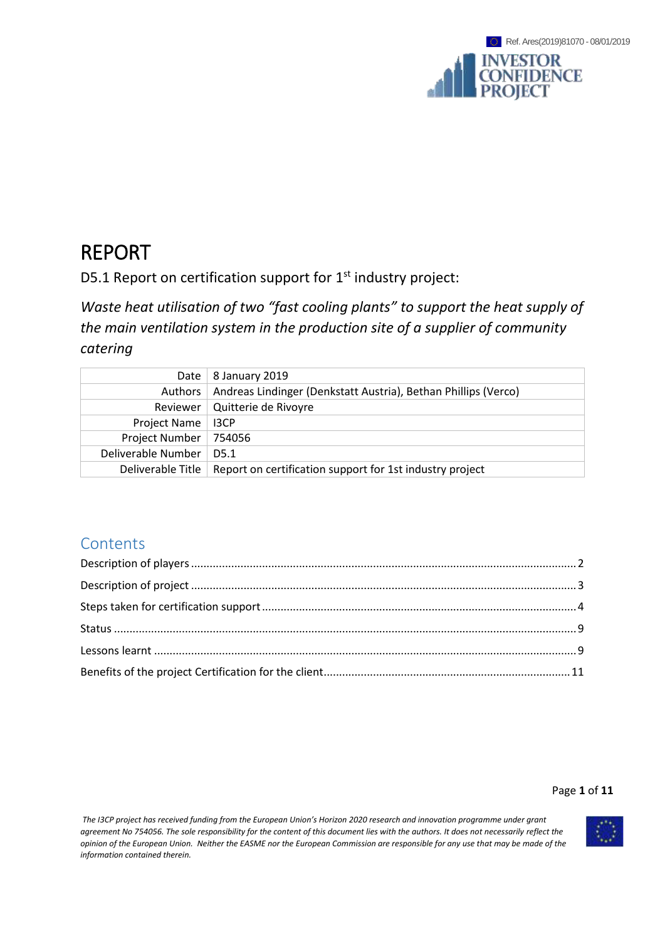# REPORT

D5.1 Report on certification support for 1<sup>st</sup> industry project:

*Waste heat utilisation of two "fast cooling plants" to support the heat supply of the main ventilation system in the production site of a supplier of community catering*

| Date               | 8 January 2019                                                 |
|--------------------|----------------------------------------------------------------|
| Authors            | Andreas Lindinger (Denkstatt Austria), Bethan Phillips (Verco) |
|                    | Reviewer   Quitterie de Rivoyre                                |
| Project Name       | I3CP                                                           |
| Project Number     | 754056                                                         |
| Deliverable Number | D <sub>5.1</sub>                                               |
| Deliverable Title  | Report on certification support for 1st industry project       |

# **Contents**

### Page **1** of **11**

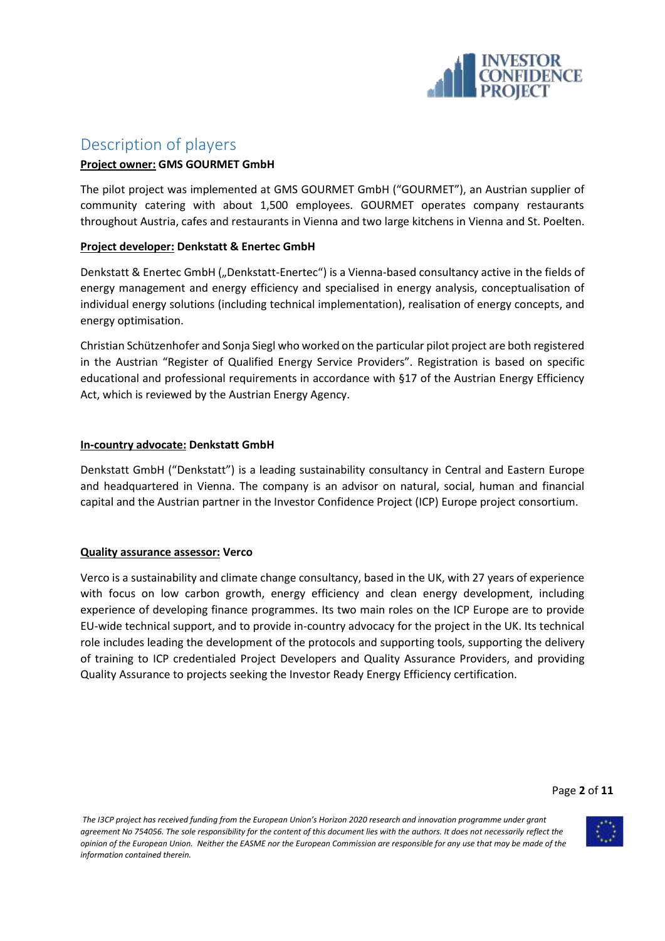

# <span id="page-1-0"></span>Description of players

### **Project owner: GMS GOURMET GmbH**

The pilot project was implemented at GMS GOURMET GmbH ("GOURMET"), an Austrian supplier of community catering with about 1,500 employees. GOURMET operates company restaurants throughout Austria, cafes and restaurants in Vienna and two large kitchens in Vienna and St. Poelten.

#### **Project developer: Denkstatt & Enertec GmbH**

Denkstatt & Enertec GmbH ("Denkstatt-Enertec") is a Vienna-based consultancy active in the fields of energy management and energy efficiency and specialised in energy analysis, conceptualisation of individual energy solutions (including technical implementation), realisation of energy concepts, and energy optimisation.

Christian Schützenhofer and Sonja Siegl who worked on the particular pilot project are both registered in the Austrian "Register of Qualified Energy Service Providers". Registration is based on specific educational and professional requirements in accordance with §17 of the Austrian Energy Efficiency Act, which is reviewed by the Austrian Energy Agency.

#### **In-country advocate: Denkstatt GmbH**

Denkstatt GmbH ("Denkstatt") is a leading sustainability consultancy in Central and Eastern Europe and headquartered in Vienna. The company is an advisor on natural, social, human and financial capital and the Austrian partner in the Investor Confidence Project (ICP) Europe project consortium.

#### **Quality assurance assessor: Verco**

Verco is a sustainability and climate change consultancy, based in the UK, with 27 years of experience with focus on low carbon growth, energy efficiency and clean energy development, including experience of developing finance programmes. Its two main roles on the ICP Europe are to provide EU-wide technical support, and to provide in-country advocacy for the project in the UK. Its technical role includes leading the development of the protocols and supporting tools, supporting the delivery of training to ICP credentialed Project Developers and Quality Assurance Providers, and providing Quality Assurance to projects seeking the Investor Ready Energy Efficiency certification.

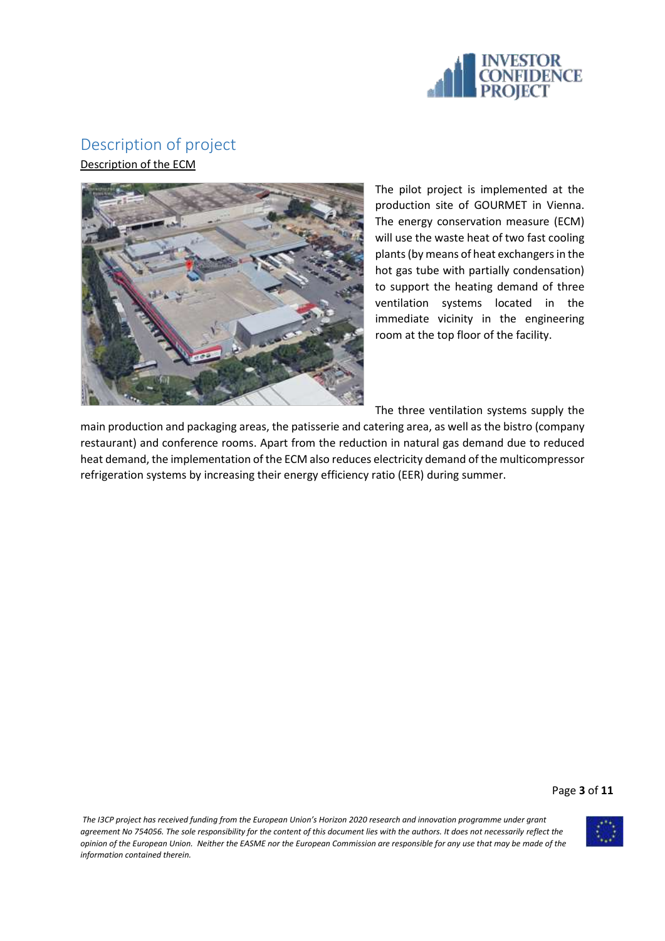

## <span id="page-2-0"></span>Description of project

Description of the ECM



The pilot project is implemented at the production site of GOURMET in Vienna. The energy conservation measure (ECM) will use the waste heat of two fast cooling plants (by means of heat exchangers in the hot gas tube with partially condensation) to support the heating demand of three ventilation systems located in the immediate vicinity in the engineering room at the top floor of the facility.

The three ventilation systems supply the

main production and packaging areas, the patisserie and catering area, as well as the bistro (company restaurant) and conference rooms. Apart from the reduction in natural gas demand due to reduced heat demand, the implementation of the ECM also reduces electricity demand of the multicompressor refrigeration systems by increasing their energy efficiency ratio (EER) during summer.

Page **3** of **11**

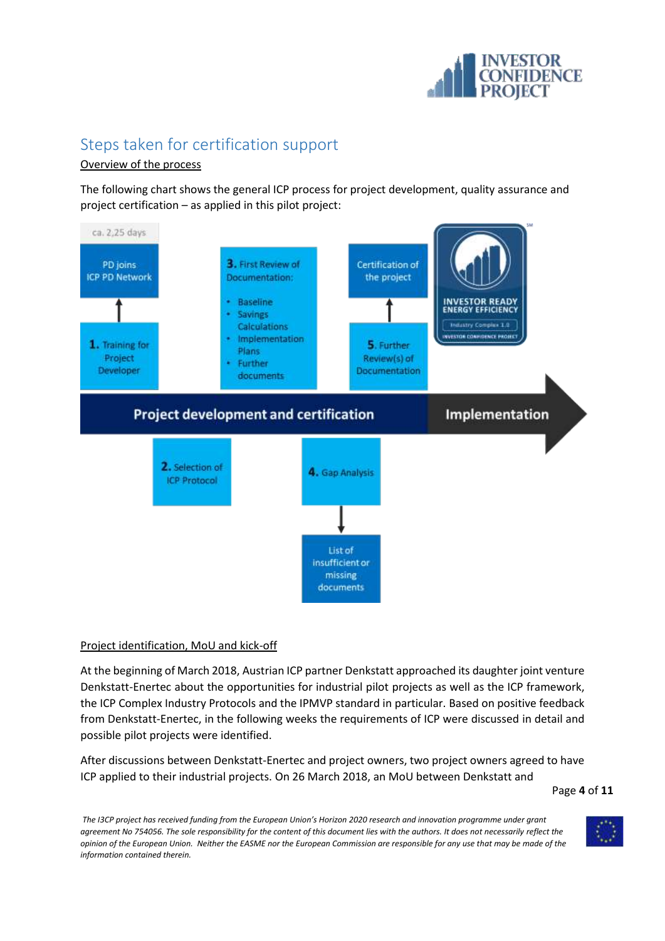

# <span id="page-3-0"></span>Steps taken for certification support

### Overview of the process

The following chart shows the general ICP process for project development, quality assurance and project certification – as applied in this pilot project:



### Project identification, MoU and kick-off

At the beginning of March 2018, Austrian ICP partner Denkstatt approached its daughter joint venture Denkstatt-Enertec about the opportunities for industrial pilot projects as well as the ICP framework, the ICP Complex Industry Protocols and the IPMVP standard in particular. Based on positive feedback from Denkstatt-Enertec, in the following weeks the requirements of ICP were discussed in detail and possible pilot projects were identified.

After discussions between Denkstatt-Enertec and project owners, two project owners agreed to have ICP applied to their industrial projects. On 26 March 2018, an MoU between Denkstatt and

Page **4** of **11**

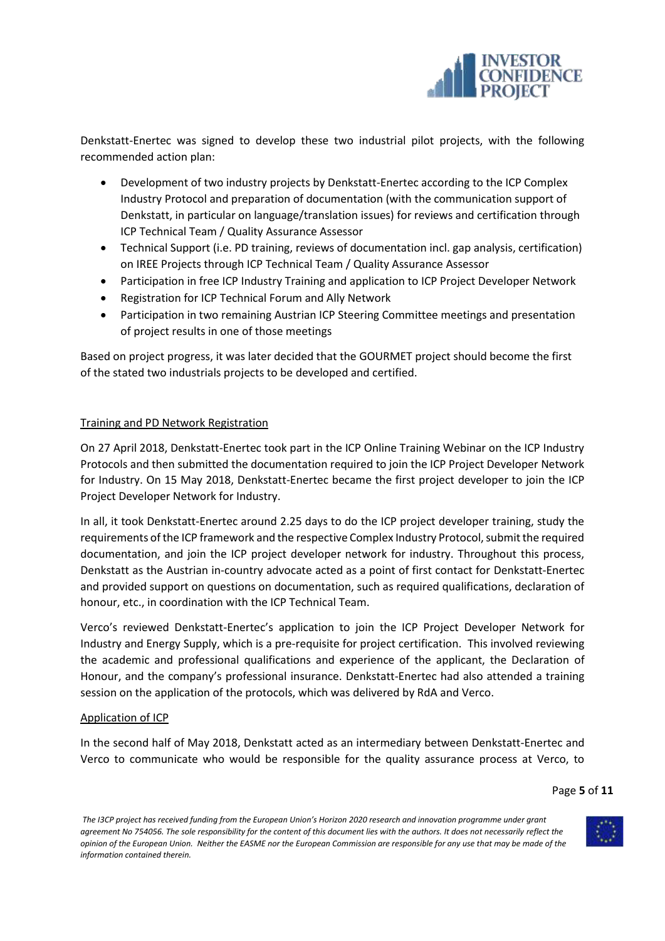

Denkstatt-Enertec was signed to develop these two industrial pilot projects, with the following recommended action plan:

- Development of two industry projects by Denkstatt-Enertec according to the ICP Complex Industry Protocol and preparation of documentation (with the communication support of Denkstatt, in particular on language/translation issues) for reviews and certification through ICP Technical Team / Quality Assurance Assessor
- Technical Support (i.e. PD training, reviews of documentation incl. gap analysis, certification) on IREE Projects through ICP Technical Team / Quality Assurance Assessor
- Participation in free ICP Industry Training and application to ICP Project Developer Network
- Registration for ICP Technical Forum and Ally Network
- Participation in two remaining Austrian ICP Steering Committee meetings and presentation of project results in one of those meetings

Based on project progress, it was later decided that the GOURMET project should become the first of the stated two industrials projects to be developed and certified.

#### Training and PD Network Registration

On 27 April 2018, Denkstatt-Enertec took part in the ICP Online Training Webinar on the ICP Industry Protocols and then submitted the documentation required to join the ICP Project Developer Network for Industry. On 15 May 2018, Denkstatt-Enertec became the first project developer to join the ICP Project Developer Network for Industry.

In all, it took Denkstatt-Enertec around 2.25 days to do the ICP project developer training, study the requirements of the ICP framework and the respective Complex Industry Protocol, submit the required documentation, and join the ICP project developer network for industry. Throughout this process, Denkstatt as the Austrian in-country advocate acted as a point of first contact for Denkstatt-Enertec and provided support on questions on documentation, such as required qualifications, declaration of honour, etc., in coordination with the ICP Technical Team.

Verco's reviewed Denkstatt-Enertec's application to join the ICP Project Developer Network for Industry and Energy Supply, which is a pre-requisite for project certification. This involved reviewing the academic and professional qualifications and experience of the applicant, the Declaration of Honour, and the company's professional insurance. Denkstatt-Enertec had also attended a training session on the application of the protocols, which was delivered by RdA and Verco.

#### Application of ICP

In the second half of May 2018, Denkstatt acted as an intermediary between Denkstatt-Enertec and Verco to communicate who would be responsible for the quality assurance process at Verco, to

Page **5** of **11**

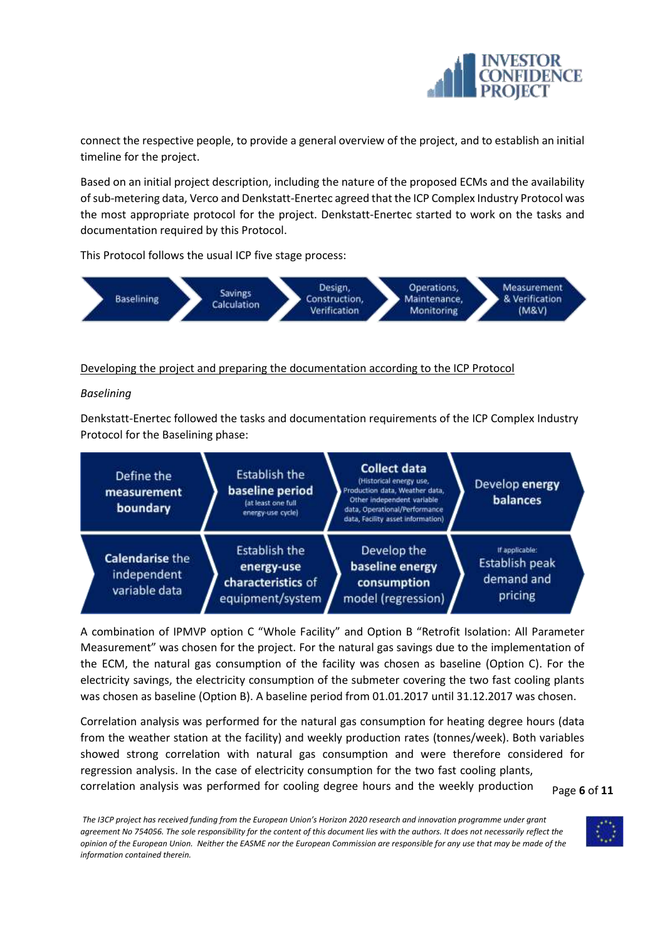

connect the respective people, to provide a general overview of the project, and to establish an initial timeline for the project.

Based on an initial project description, including the nature of the proposed ECMs and the availability of sub-metering data, Verco and Denkstatt-Enertec agreed that the ICP Complex Industry Protocol was the most appropriate protocol for the project. Denkstatt-Enertec started to work on the tasks and documentation required by this Protocol.

This Protocol follows the usual ICP five stage process:



#### Developing the project and preparing the documentation according to the ICP Protocol

#### *Baselining*

Denkstatt-Enertec followed the tasks and documentation requirements of the ICP Complex Industry Protocol for the Baselining phase:



A combination of IPMVP option C "Whole Facility" and Option B "Retrofit Isolation: All Parameter Measurement" was chosen for the project. For the natural gas savings due to the implementation of the ECM, the natural gas consumption of the facility was chosen as baseline (Option C). For the electricity savings, the electricity consumption of the submeter covering the two fast cooling plants was chosen as baseline (Option B). A baseline period from 01.01.2017 until 31.12.2017 was chosen.

Correlation analysis was performed for the natural gas consumption for heating degree hours (data from the weather station at the facility) and weekly production rates (tonnes/week). Both variables showed strong correlation with natural gas consumption and were therefore considered for regression analysis. In the case of electricity consumption for the two fast cooling plants, correlation analysis was performed for cooling degree hours and the weekly production

Page **6** of **11**

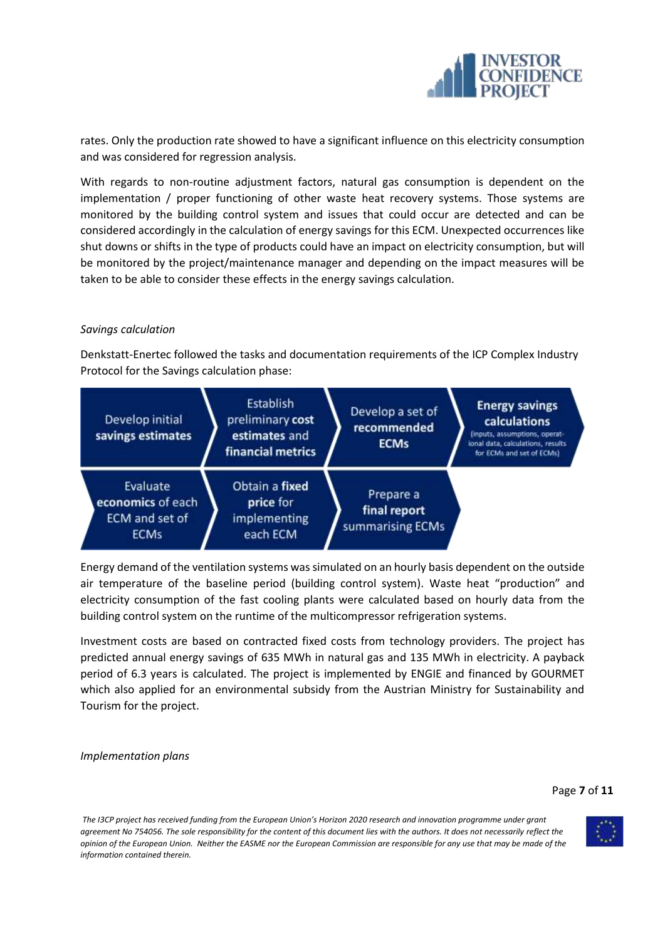

rates. Only the production rate showed to have a significant influence on this electricity consumption and was considered for regression analysis.

With regards to non-routine adjustment factors, natural gas consumption is dependent on the implementation / proper functioning of other waste heat recovery systems. Those systems are monitored by the building control system and issues that could occur are detected and can be considered accordingly in the calculation of energy savings for this ECM. Unexpected occurrences like shut downs or shifts in the type of products could have an impact on electricity consumption, but will be monitored by the project/maintenance manager and depending on the impact measures will be taken to be able to consider these effects in the energy savings calculation.

#### *Savings calculation*

Denkstatt-Enertec followed the tasks and documentation requirements of the ICP Complex Industry Protocol for the Savings calculation phase:

| Develop initial<br>savings estimates                           | Establish<br>preliminary cost<br>estimates and<br>financial metrics | Develop a set of<br>recommended<br><b>ECMs</b> | <b>Energy savings</b><br>calculations<br>(inputs, assumptions, operat-<br>ional data, calculations, results<br>for ECMs and set of ECMs) |
|----------------------------------------------------------------|---------------------------------------------------------------------|------------------------------------------------|------------------------------------------------------------------------------------------------------------------------------------------|
| Evaluate<br>economics of each<br>ECM and set of<br><b>ECMs</b> | Obtain a fixed<br>price for<br>implementing<br>each ECM             | Prepare a<br>final report<br>summarising ECMs  |                                                                                                                                          |

Energy demand of the ventilation systems was simulated on an hourly basis dependent on the outside air temperature of the baseline period (building control system). Waste heat "production" and electricity consumption of the fast cooling plants were calculated based on hourly data from the building control system on the runtime of the multicompressor refrigeration systems.

Investment costs are based on contracted fixed costs from technology providers. The project has predicted annual energy savings of 635 MWh in natural gas and 135 MWh in electricity. A payback period of 6.3 years is calculated. The project is implemented by ENGIE and financed by GOURMET which also applied for an environmental subsidy from the Austrian Ministry for Sustainability and Tourism for the project.

*Implementation plans*

#### Page **7** of **11**

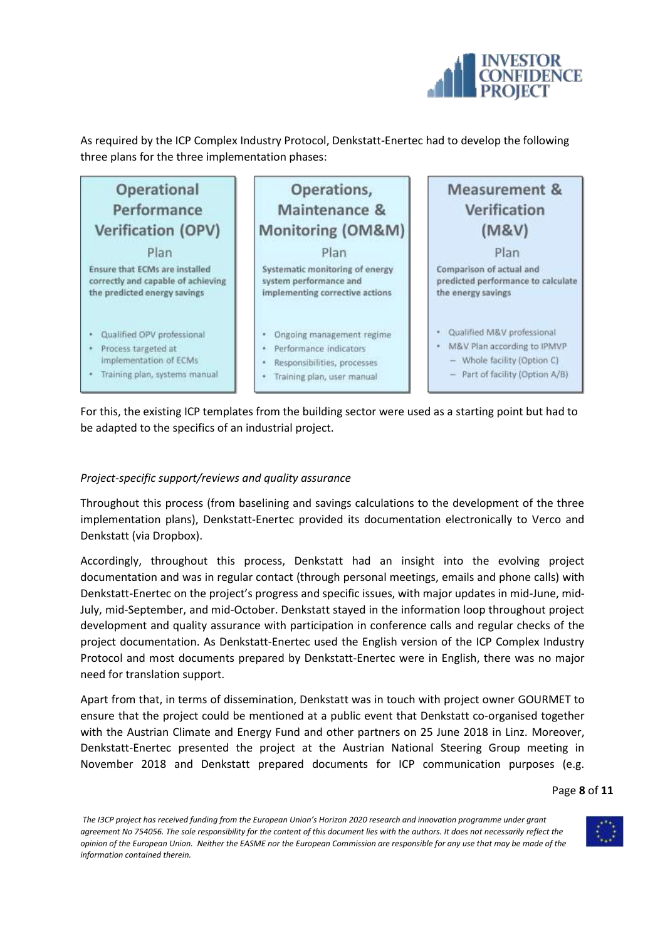

As required by the ICP Complex Industry Protocol, Denkstatt-Enertec had to develop the following three plans for the three implementation phases:



For this, the existing ICP templates from the building sector were used as a starting point but had to be adapted to the specifics of an industrial project.

#### *Project-specific support/reviews and quality assurance*

Throughout this process (from baselining and savings calculations to the development of the three implementation plans), Denkstatt-Enertec provided its documentation electronically to Verco and Denkstatt (via Dropbox).

Accordingly, throughout this process, Denkstatt had an insight into the evolving project documentation and was in regular contact (through personal meetings, emails and phone calls) with Denkstatt-Enertec on the project's progress and specific issues, with major updates in mid-June, mid-July, mid-September, and mid-October. Denkstatt stayed in the information loop throughout project development and quality assurance with participation in conference calls and regular checks of the project documentation. As Denkstatt-Enertec used the English version of the ICP Complex Industry Protocol and most documents prepared by Denkstatt-Enertec were in English, there was no major need for translation support.

Apart from that, in terms of dissemination, Denkstatt was in touch with project owner GOURMET to ensure that the project could be mentioned at a public event that Denkstatt co-organised together with the Austrian Climate and Energy Fund and other partners on 25 June 2018 in Linz. Moreover, Denkstatt-Enertec presented the project at the Austrian National Steering Group meeting in November 2018 and Denkstatt prepared documents for ICP communication purposes (e.g.

#### Page **8** of **11**

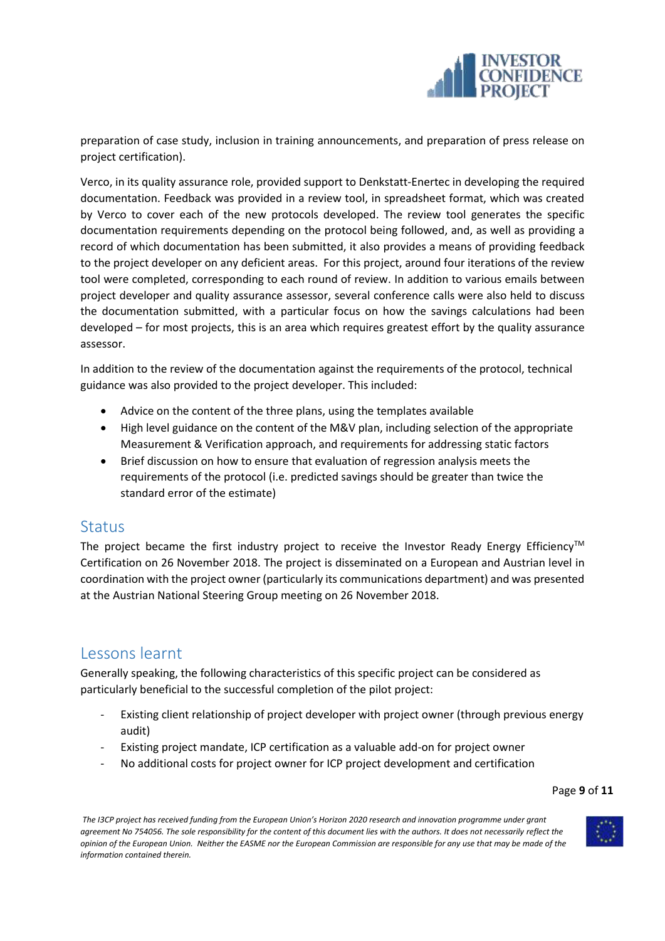

preparation of case study, inclusion in training announcements, and preparation of press release on project certification).

Verco, in its quality assurance role, provided support to Denkstatt-Enertec in developing the required documentation. Feedback was provided in a review tool, in spreadsheet format, which was created by Verco to cover each of the new protocols developed. The review tool generates the specific documentation requirements depending on the protocol being followed, and, as well as providing a record of which documentation has been submitted, it also provides a means of providing feedback to the project developer on any deficient areas. For this project, around four iterations of the review tool were completed, corresponding to each round of review. In addition to various emails between project developer and quality assurance assessor, several conference calls were also held to discuss the documentation submitted, with a particular focus on how the savings calculations had been developed – for most projects, this is an area which requires greatest effort by the quality assurance assessor.

In addition to the review of the documentation against the requirements of the protocol, technical guidance was also provided to the project developer. This included:

- Advice on the content of the three plans, using the templates available
- High level guidance on the content of the M&V plan, including selection of the appropriate Measurement & Verification approach, and requirements for addressing static factors
- Brief discussion on how to ensure that evaluation of regression analysis meets the requirements of the protocol (i.e. predicted savings should be greater than twice the standard error of the estimate)

### <span id="page-8-0"></span>**Status**

The project became the first industry project to receive the Investor Ready Energy Efficiency<sup>TM</sup> Certification on 26 November 2018. The project is disseminated on a European and Austrian level in coordination with the project owner (particularly its communications department) and was presented at the Austrian National Steering Group meeting on 26 November 2018.

### <span id="page-8-1"></span>Lessons learnt

Generally speaking, the following characteristics of this specific project can be considered as particularly beneficial to the successful completion of the pilot project:

- Existing client relationship of project developer with project owner (through previous energy audit)
- Existing project mandate, ICP certification as a valuable add-on for project owner
- No additional costs for project owner for ICP project development and certification

Page **9** of **11**

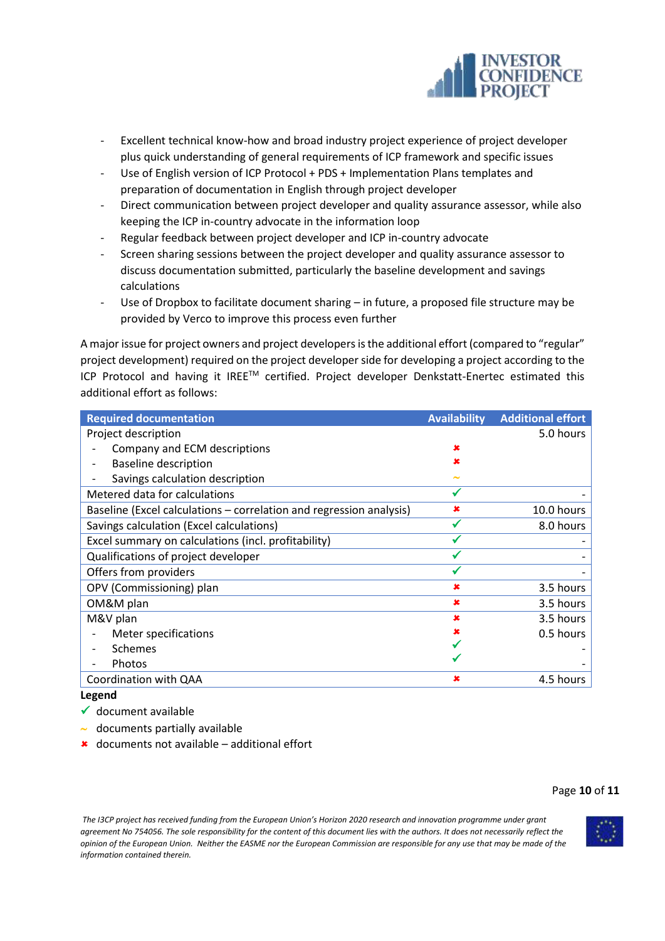

- Excellent technical know-how and broad industry project experience of project developer plus quick understanding of general requirements of ICP framework and specific issues
- Use of English version of ICP Protocol + PDS + Implementation Plans templates and preparation of documentation in English through project developer
- Direct communication between project developer and quality assurance assessor, while also keeping the ICP in-country advocate in the information loop
- Regular feedback between project developer and ICP in-country advocate
- Screen sharing sessions between the project developer and quality assurance assessor to discuss documentation submitted, particularly the baseline development and savings calculations
- Use of Dropbox to facilitate document sharing  $-$  in future, a proposed file structure may be provided by Verco to improve this process even further

A major issue for project owners and project developers is the additional effort (compared to "regular" project development) required on the project developer side for developing a project according to the ICP Protocol and having it IREETM certified. Project developer Denkstatt-Enertec estimated this additional effort as follows:

| <b>Required documentation</b>                                       | <b>Availability</b> | <b>Additional effort</b> |
|---------------------------------------------------------------------|---------------------|--------------------------|
| Project description                                                 |                     | 5.0 hours                |
| Company and ECM descriptions                                        | ×                   |                          |
| <b>Baseline description</b>                                         |                     |                          |
| Savings calculation description                                     | $\tilde{}$          |                          |
| Metered data for calculations                                       |                     |                          |
| Baseline (Excel calculations – correlation and regression analysis) | ×                   | 10.0 hours               |
| Savings calculation (Excel calculations)                            |                     | 8.0 hours                |
| Excel summary on calculations (incl. profitability)                 |                     |                          |
| Qualifications of project developer                                 |                     |                          |
| Offers from providers                                               |                     |                          |
| OPV (Commissioning) plan                                            | ×                   | 3.5 hours                |
| OM&M plan                                                           | x                   | 3.5 hours                |
| M&V plan                                                            | ×                   | 3.5 hours                |
| Meter specifications                                                |                     | 0.5 hours                |
| Schemes                                                             |                     |                          |
| Photos                                                              |                     |                          |
| Coordination with QAA                                               | ×                   | 4.5 hours                |

#### **Legend**

- $\checkmark$  document available
- $\sim$  documents partially available
- $\star$  documents not available additional effort

#### Page **10** of **11**